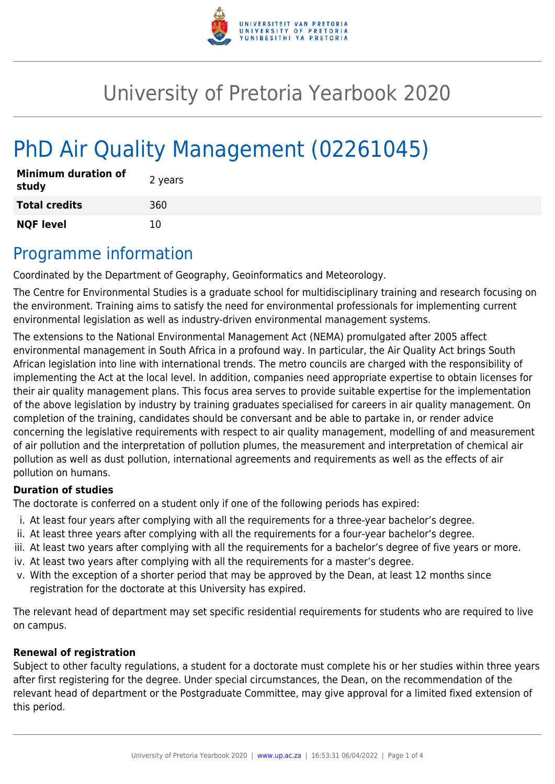

# University of Pretoria Yearbook 2020

# PhD Air Quality Management (02261045)

| <b>Minimum duration of</b><br>study | 2 years |
|-------------------------------------|---------|
| <b>Total credits</b>                | 360     |
| <b>NQF level</b>                    | 10      |

## Programme information

Coordinated by the Department of Geography, Geoinformatics and Meteorology.

The Centre for Environmental Studies is a graduate school for multidisciplinary training and research focusing on the environment. Training aims to satisfy the need for environmental professionals for implementing current environmental legislation as well as industry-driven environmental management systems.

The extensions to the National Environmental Management Act (NEMA) promulgated after 2005 affect environmental management in South Africa in a profound way. In particular, the Air Quality Act brings South African legislation into line with international trends. The metro councils are charged with the responsibility of implementing the Act at the local level. In addition, companies need appropriate expertise to obtain licenses for their air quality management plans. This focus area serves to provide suitable expertise for the implementation of the above legislation by industry by training graduates specialised for careers in air quality management. On completion of the training, candidates should be conversant and be able to partake in, or render advice concerning the legislative requirements with respect to air quality management, modelling of and measurement of air pollution and the interpretation of pollution plumes, the measurement and interpretation of chemical air pollution as well as dust pollution, international agreements and requirements as well as the effects of air pollution on humans.

#### **Duration of studies**

The doctorate is conferred on a student only if one of the following periods has expired:

- i. At least four years after complying with all the requirements for a three-year bachelor's degree.
- ii. At least three years after complying with all the requirements for a four-year bachelor's degree.
- iii. At least two years after complying with all the requirements for a bachelor's degree of five years or more.
- iv. At least two years after complying with all the requirements for a master's degree.
- v. With the exception of a shorter period that may be approved by the Dean, at least 12 months since registration for the doctorate at this University has expired.

The relevant head of department may set specific residential requirements for students who are required to live on campus.

#### **Renewal of registration**

Subject to other faculty regulations, a student for a doctorate must complete his or her studies within three years after first registering for the degree. Under special circumstances, the Dean, on the recommendation of the relevant head of department or the Postgraduate Committee, may give approval for a limited fixed extension of this period.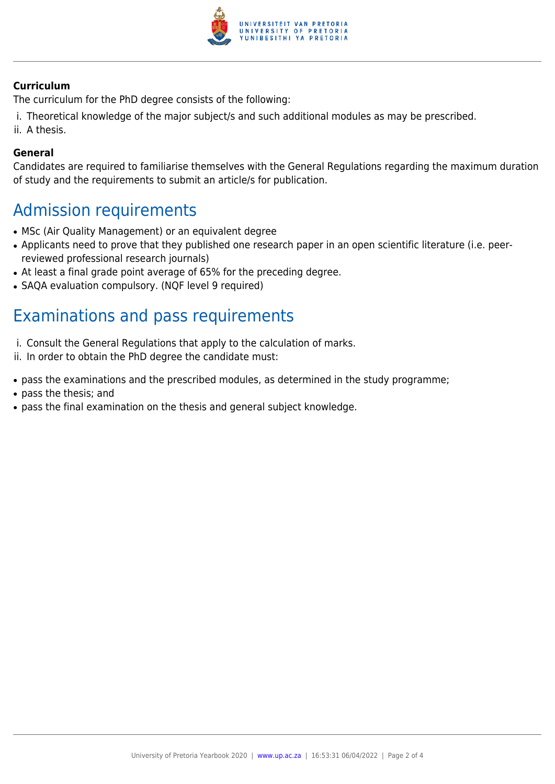

#### **Curriculum**

The curriculum for the PhD degree consists of the following:

- i. Theoretical knowledge of the major subject/s and such additional modules as may be prescribed.
- ii. A thesis.

#### **General**

Candidates are required to familiarise themselves with the General Regulations regarding the maximum duration of study and the requirements to submit an article/s for publication.

### Admission requirements

- MSc (Air Quality Management) or an equivalent degree
- Applicants need to prove that they published one research paper in an open scientific literature (i.e. peerreviewed professional research journals)
- At least a final grade point average of 65% for the preceding degree.
- SAQA evaluation compulsory. (NQF level 9 required)

## Examinations and pass requirements

- i. Consult the General Regulations that apply to the calculation of marks.
- ii. In order to obtain the PhD degree the candidate must:
- pass the examinations and the prescribed modules, as determined in the study programme;
- pass the thesis; and
- pass the final examination on the thesis and general subject knowledge.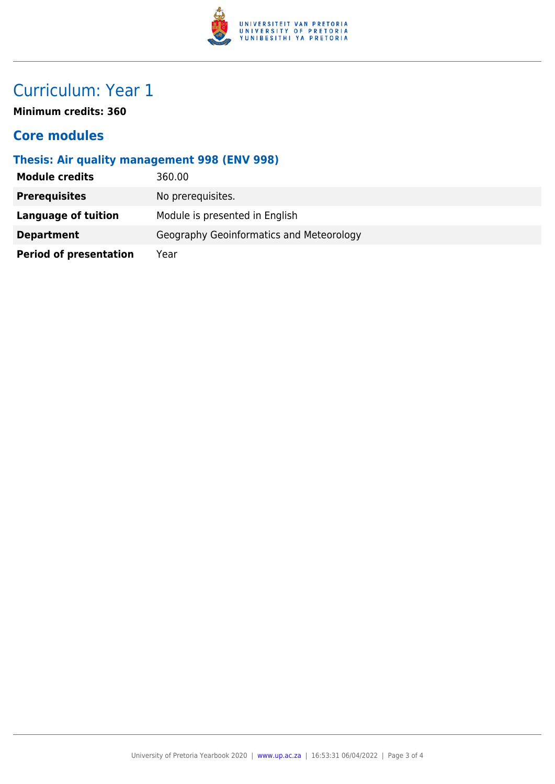

# Curriculum: Year 1

**Minimum credits: 360**

### **Core modules**

### **Thesis: Air quality management 998 (ENV 998)**

| <b>Module credits</b>         | 360.00                                   |
|-------------------------------|------------------------------------------|
| <b>Prerequisites</b>          | No prerequisites.                        |
| <b>Language of tuition</b>    | Module is presented in English           |
| <b>Department</b>             | Geography Geoinformatics and Meteorology |
| <b>Period of presentation</b> | Year                                     |